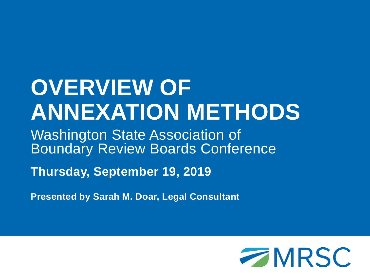# **OVERVIEW OF ANNEXATION METHODS**

Washington State Association of Boundary Review Boards Conference

**Thursday, September 19, 2019**

**Presented by Sarah M. Doar, Legal Consultant** 

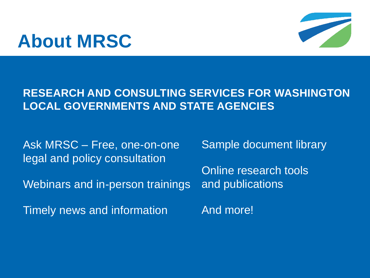## **About MRSC**



#### **RESEARCH AND CONSULTING SERVICES FOR WASHINGTON LOCAL GOVERNMENTS AND STATE AGENCIES**

Ask MRSC – Free, one-on-one legal and policy consultation

Webinars and in-person trainings

Timely news and information

Sample document library

Online research tools and publications

And more!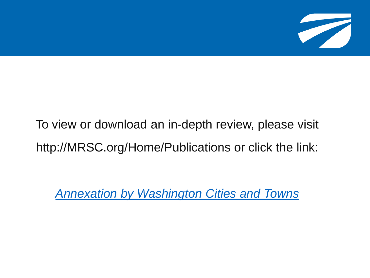

## To view or download an in-depth review, please visit http://MRSC.org/Home/Publications or click the link:

*[Annexation by Washington Cities and Towns](http://mrsc.org/getmedia/f7797a3e-d87b-4875-b70a-229a082d7ef3/Annexation-By-Washington-Cities-And-Towns.pdf.aspx?ext=.pdf)*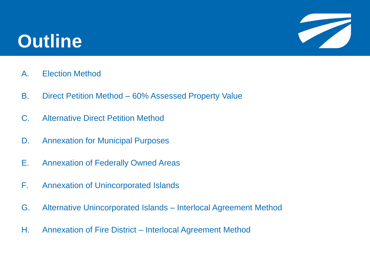## **Outline**



- A. Election Method
- B. Direct Petition Method 60% Assessed Property Value
- C. Alternative Direct Petition Method
- D. Annexation for Municipal Purposes
- E. Annexation of Federally Owned Areas
- F. Annexation of Unincorporated Islands
- G. Alternative Unincorporated Islands Interlocal Agreement Method
- H. Annexation of Fire District Interlocal Agreement Method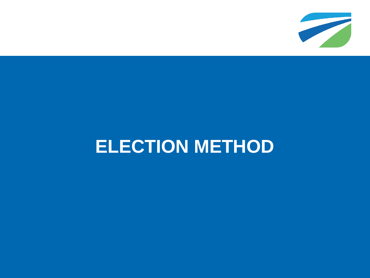

## **ELECTION METHOD**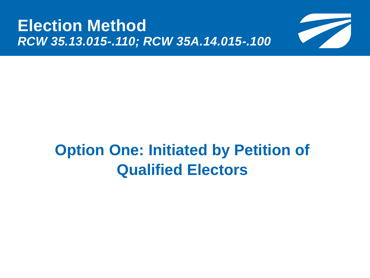

## **Option One: Initiated by Petition of Qualified Electors**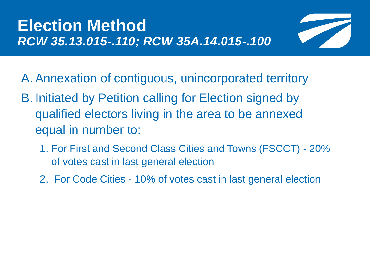

- A. Annexation of contiguous, unincorporated territory
- B. Initiated by Petition calling for Election signed by qualified electors living in the area to be annexed equal in number to:
	- 1. For First and Second Class Cities and Towns (FSCCT) 20% of votes cast in last general election
	- 2. For Code Cities 10% of votes cast in last general election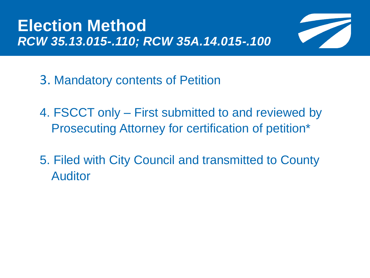

- 3. Mandatory contents of Petition
- 4. FSCCT only First submitted to and reviewed by Prosecuting Attorney for certification of petition\*
- 5. Filed with City Council and transmitted to County Auditor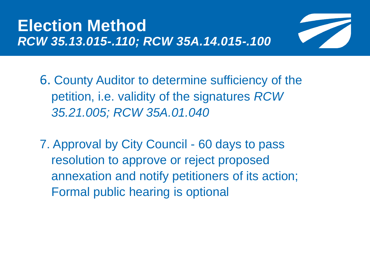

6. County Auditor to determine sufficiency of the petition, i.e. validity of the signatures *RCW 35.21.005; RCW 35A.01.040*

7. Approval by City Council - 60 days to pass resolution to approve or reject proposed annexation and notify petitioners of its action; Formal public hearing is optional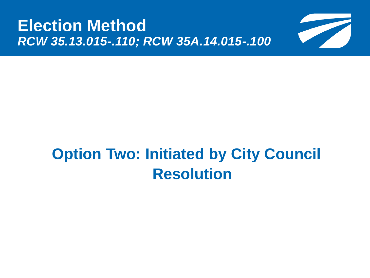

## **Option Two: Initiated by City Council Resolution**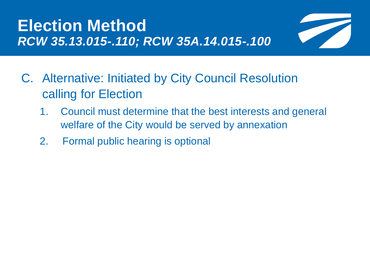

- C. Alternative: Initiated by City Council Resolution calling for Election
	- 1. Council must determine that the best interests and general welfare of the City would be served by annexation
	- 2. Formal public hearing is optional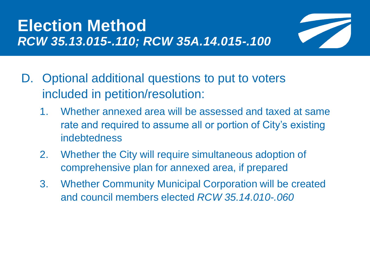

- D. Optional additional questions to put to voters included in petition/resolution:
	- 1. Whether annexed area will be assessed and taxed at same rate and required to assume all or portion of City's existing indebtedness
	- 2. Whether the City will require simultaneous adoption of comprehensive plan for annexed area, if prepared
	- 3. Whether Community Municipal Corporation will be created and council members elected *RCW 35.14.010-.060*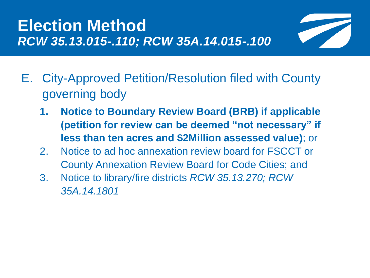

- E. City-Approved Petition/Resolution filed with County governing body
	- **1. Notice to Boundary Review Board (BRB) if applicable (petition for review can be deemed "not necessary" if less than ten acres and \$2Million assessed value)**; or
	- 2. Notice to ad hoc annexation review board for FSCCT or County Annexation Review Board for Code Cities; and
	- 3. Notice to library/fire districts *RCW 35.13.270; RCW 35A.14.1801*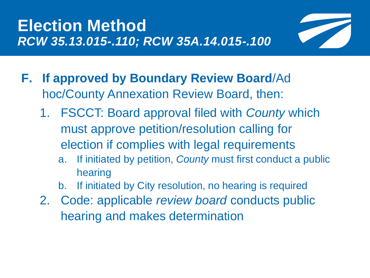

- **F. If approved by Boundary Review Board**/Ad hoc/County Annexation Review Board, then:
	- 1. FSCCT: Board approval filed with *County* which must approve petition/resolution calling for election if complies with legal requirements
		- a. If initiated by petition, *County* must first conduct a public hearing
		- b. If initiated by City resolution, no hearing is required
	- 2. Code: applicable *review board* conducts public hearing and makes determination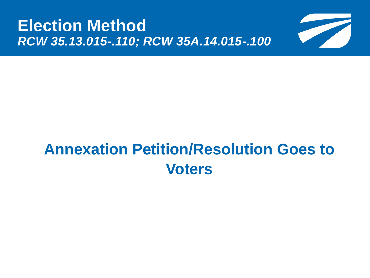

## **Annexation Petition/Resolution Goes to Voters**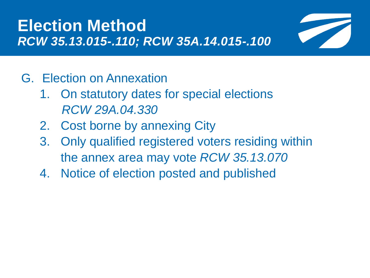

- G. Election on Annexation
	- 1. On statutory dates for special elections *RCW 29A.04.330*
	- 2. Cost borne by annexing City
	- 3. Only qualified registered voters residing within the annex area may vote *RCW 35.13.070*
	- 4. Notice of election posted and published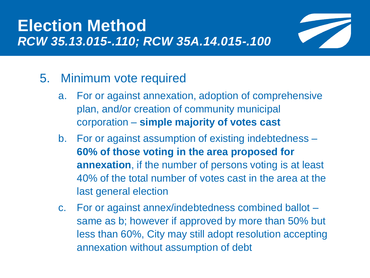

#### 5. Minimum vote required

- a. For or against annexation, adoption of comprehensive plan, and/or creation of community municipal corporation – **simple majority of votes cast**
- b. For or against assumption of existing indebtedness **60% of those voting in the area proposed for annexation**, if the number of persons voting is at least 40% of the total number of votes cast in the area at the last general election
- c. For or against annex/indebtedness combined ballot same as b; however if approved by more than 50% but less than 60%, City may still adopt resolution accepting annexation without assumption of debt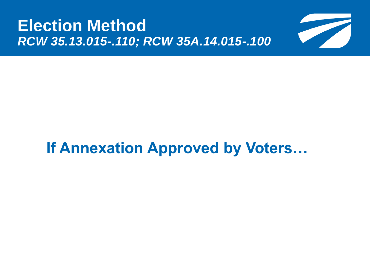

## **If Annexation Approved by Voters…**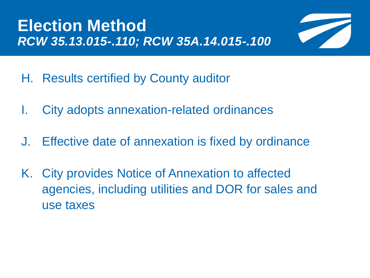

- H. Results certified by County auditor
- I. City adopts annexation-related ordinances
- J. Effective date of annexation is fixed by ordinance
- K. City provides Notice of Annexation to affected agencies, including utilities and DOR for sales and use taxes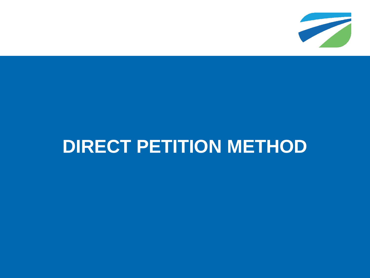

## **DIRECT PETITION METHOD**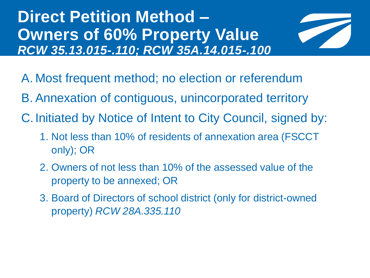### **Direct Petition Method – Owners of 60% Property Value** *RCW 35.13.015-.110; RCW 35A.14.015-.100*



- A. Most frequent method; no election or referendum
- B. Annexation of contiguous, unincorporated territory
- C.Initiated by Notice of Intent to City Council, signed by:
	- 1. Not less than 10% of residents of annexation area (FSCCT only); OR
	- 2. Owners of not less than 10% of the assessed value of the property to be annexed; OR
	- 3. Board of Directors of school district (only for district-owned property) *RCW 28A.335.110*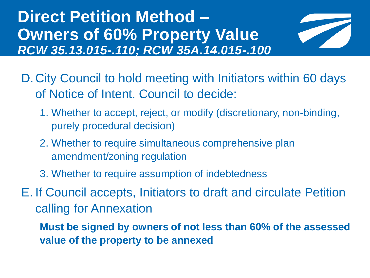### **Direct Petition Method – Owners of 60% Property Value** *RCW 35.13.015-.110; RCW 35A.14.015-.100*



- D.City Council to hold meeting with Initiators within 60 days of Notice of Intent. Council to decide:
	- 1. Whether to accept, reject, or modify (discretionary, non-binding, purely procedural decision)
	- 2. Whether to require simultaneous comprehensive plan amendment/zoning regulation
	- 3. Whether to require assumption of indebtedness
- E. If Council accepts, Initiators to draft and circulate Petition calling for Annexation
	- **Must be signed by owners of not less than 60% of the assessed value of the property to be annexed**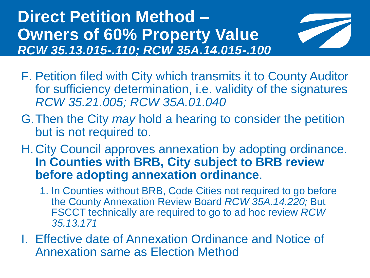**Direct Petition Method – Owners of 60% Property Value** *RCW 35.13.015-.110; RCW 35A.14.015-.100*



- F. Petition filed with City which transmits it to County Auditor for sufficiency determination, i.e. validity of the signatures *RCW 35.21.005; RCW 35A.01.040*
- G.Then the City *may* hold a hearing to consider the petition but is not required to.
- H.City Council approves annexation by adopting ordinance. **In Counties with BRB, City subject to BRB review before adopting annexation ordinance**.
	- 1. In Counties without BRB, Code Cities not required to go before the County Annexation Review Board *RCW 35A.14.220;* But FSCCT technically are required to go to ad hoc review *RCW 35.13.171*
- I. Effective date of Annexation Ordinance and Notice of Annexation same as Election Method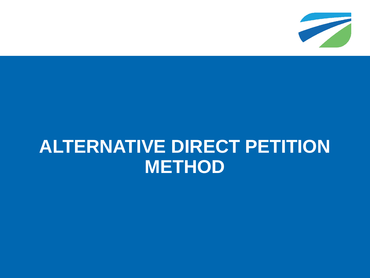

## **ALTERNATIVE DIRECT PETITION METHOD**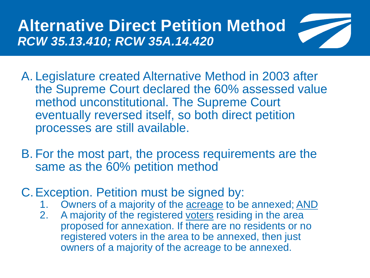### **Alternative Direct Petition Method**  *RCW 35.13.410; RCW 35A.14.420*



- A. Legislature created Alternative Method in 2003 after the Supreme Court declared the 60% assessed value method unconstitutional. The Supreme Court eventually reversed itself, so both direct petition processes are still available.
- B. For the most part, the process requirements are the same as the 60% petition method
- C.Exception. Petition must be signed by:
	- 1. Owners of a majority of the acreage to be annexed; AND
	- 2. A majority of the registered voters residing in the area proposed for annexation. If there are no residents or no registered voters in the area to be annexed, then just owners of a majority of the acreage to be annexed.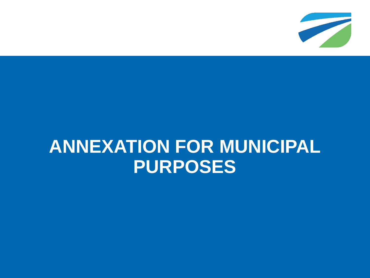

## **ANNEXATION FOR MUNICIPAL PURPOSES**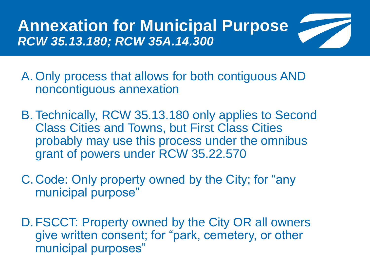**Annexation for Municipal Purpose** *RCW 35.13.180; RCW 35A.14.300*



- B. Technically, RCW 35.13.180 only applies to Second Class Cities and Towns, but First Class Cities probably may use this process under the omnibus grant of powers under RCW 35.22.570
- C.Code: Only property owned by the City; for "any municipal purpose"
- D.FSCCT: Property owned by the City OR all owners give written consent; for "park, cemetery, or other municipal purposes"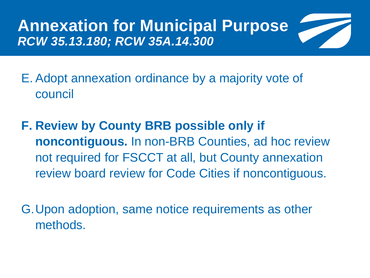**Annexation for Municipal Purpose** *RCW 35.13.180; RCW 35A.14.300*



E. Adopt annexation ordinance by a majority vote of council

**F. Review by County BRB possible only if noncontiguous.** In non-BRB Counties, ad hoc review not required for FSCCT at all, but County annexation review board review for Code Cities if noncontiguous.

G.Upon adoption, same notice requirements as other methods.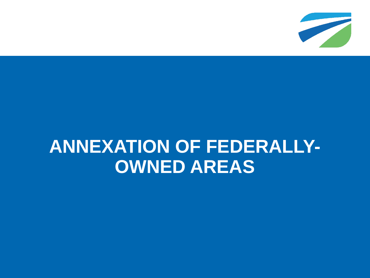

## **ANNEXATION OF FEDERALLY-OWNED AREAS**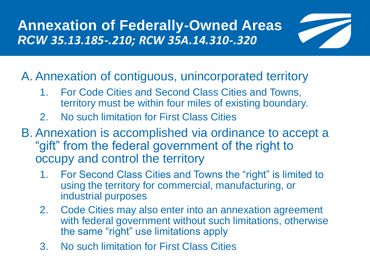**Annexation of Federally-Owned Areas** *RCW 35.13.185-.210; RCW 35A.14.310-.320*



A. Annexation of contiguous, unincorporated territory

- 1. For Code Cities and Second Class Cities and Towns, territory must be within four miles of existing boundary.
- 2. No such limitation for First Class Cities
- B. Annexation is accomplished via ordinance to accept a "gift" from the federal government of the right to occupy and control the territory
	- 1. For Second Class Cities and Towns the "right" is limited to using the territory for commercial, manufacturing, or industrial purposes
	- 2. Code Cities may also enter into an annexation agreement with federal government without such limitations, otherwise the same "right" use limitations apply
	- 3. No such limitation for First Class Cities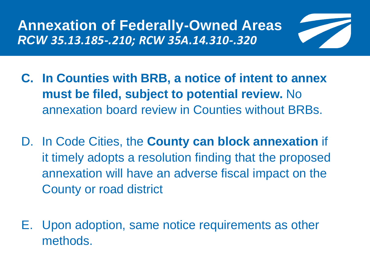**Annexation of Federally-Owned Areas** *RCW 35.13.185-.210; RCW 35A.14.310-.320*



- **C. In Counties with BRB, a notice of intent to annex must be filed, subject to potential review.** No annexation board review in Counties without BRBs.
- D. In Code Cities, the **County can block annexation** if it timely adopts a resolution finding that the proposed annexation will have an adverse fiscal impact on the County or road district
- E. Upon adoption, same notice requirements as other methods.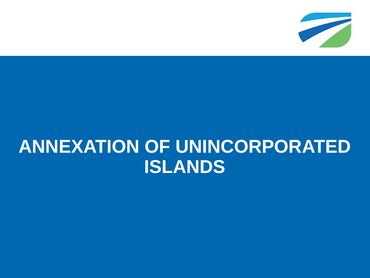

## **ANNEXATION OF UNINCORPORATED ISLANDS**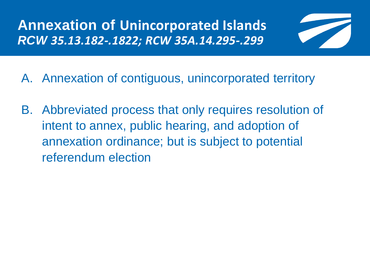**Annexation of Unincorporated Islands**  *RCW 35.13.182-.1822; RCW 35A.14.295-.299*



- A. Annexation of contiguous, unincorporated territory
- B. Abbreviated process that only requires resolution of intent to annex, public hearing, and adoption of annexation ordinance; but is subject to potential referendum election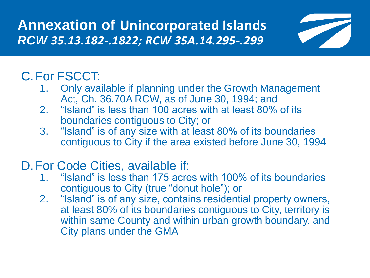**Annexation of Unincorporated Islands**  *RCW 35.13.182-.1822; RCW 35A.14.295-.299*



### C.For FSCCT:

- 1. Only available if planning under the Growth Management Act, Ch. 36.70A RCW, as of June 30, 1994; and
- 2. "Island" is less than 100 acres with at least 80% of its boundaries contiguous to City; or
- 3. "Island" is of any size with at least 80% of its boundaries contiguous to City if the area existed before June 30, 1994

#### D.For Code Cities, available if:

- 1. "Island" is less than 175 acres with 100% of its boundaries contiguous to City (true "donut hole"); or
- 2. "Island" is of any size, contains residential property owners, at least 80% of its boundaries contiguous to City, territory is within same County and within urban growth boundary, and City plans under the GMA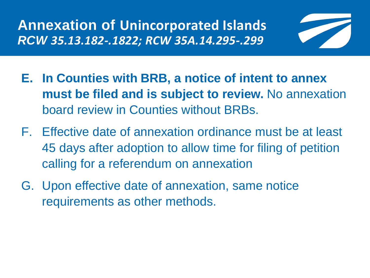**Annexation of Unincorporated Islands**  *RCW 35.13.182-.1822; RCW 35A.14.295-.299*



- **E. In Counties with BRB, a notice of intent to annex must be filed and is subject to review.** No annexation board review in Counties without BRBs.
- F. Effective date of annexation ordinance must be at least 45 days after adoption to allow time for filing of petition calling for a referendum on annexation
- G. Upon effective date of annexation, same notice requirements as other methods.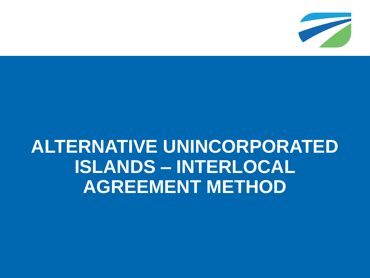

## **ALTERNATIVE UNINCORPORATED ISLANDS – INTERLOCAL AGREEMENT METHOD**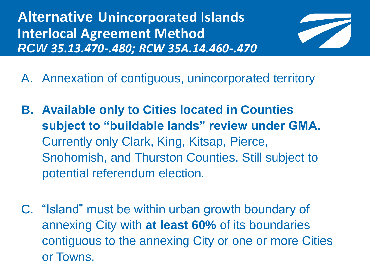**Alternative Unincorporated Islands Interlocal Agreement Method** *RCW 35.13.470-.480; RCW 35A.14.460-.470*



- A. Annexation of contiguous, unincorporated territory
- **B. Available only to Cities located in Counties subject to "buildable lands" review under GMA.**  Currently only Clark, King, Kitsap, Pierce, Snohomish, and Thurston Counties. Still subject to potential referendum election.
- C. "Island" must be within urban growth boundary of annexing City with **at least 60%** of its boundaries contiguous to the annexing City or one or more Cities or Towns.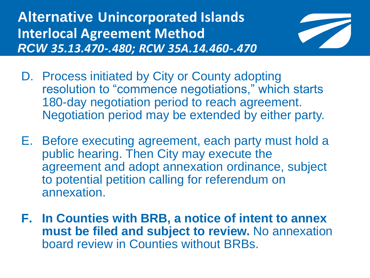**Alternative Unincorporated Islands Interlocal Agreement Method** *RCW 35.13.470-.480; RCW 35A.14.460-.470*



- D. Process initiated by City or County adopting resolution to "commence negotiations," which starts 180-day negotiation period to reach agreement. Negotiation period may be extended by either party.
- E. Before executing agreement, each party must hold a public hearing. Then City may execute the agreement and adopt annexation ordinance, subject to potential petition calling for referendum on annexation.
- **F. In Counties with BRB, a notice of intent to annex must be filed and subject to review.** No annexation board review in Counties without BRBs.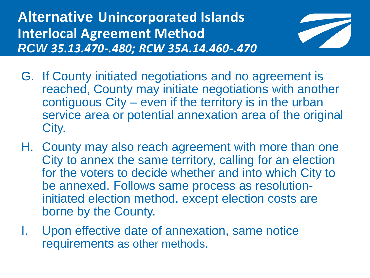**Alternative Unincorporated Islands Interlocal Agreement Method** *RCW 35.13.470-.480; RCW 35A.14.460-.470*



- G. If County initiated negotiations and no agreement is reached, County may initiate negotiations with another contiguous City – even if the territory is in the urban service area or potential annexation area of the original City.
- H. County may also reach agreement with more than one City to annex the same territory, calling for an election for the voters to decide whether and into which City to be annexed. Follows same process as resolutioninitiated election method, except election costs are borne by the County.
- I. Upon effective date of annexation, same notice requirements as other methods.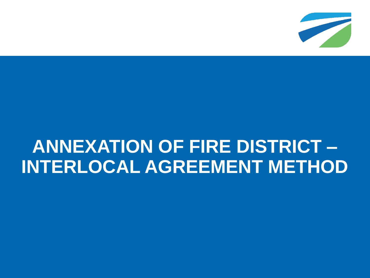

## **ANNEXATION OF FIRE DISTRICT – INTERLOCAL AGREEMENT METHOD**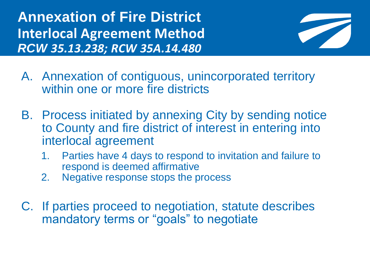**Annexation of Fire District Interlocal Agreement Method** *RCW 35.13.238; RCW 35A.14.480*



- A. Annexation of contiguous, unincorporated territory within one or more fire districts
- B. Process initiated by annexing City by sending notice to County and fire district of interest in entering into interlocal agreement
	- 1. Parties have 4 days to respond to invitation and failure to respond is deemed affirmative
	- 2. Negative response stops the process
- C. If parties proceed to negotiation, statute describes mandatory terms or "goals" to negotiate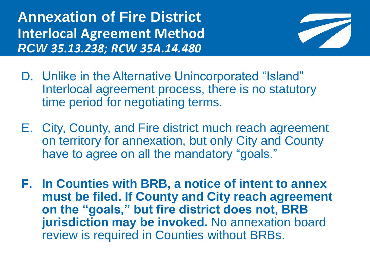**Annexation of Fire District Interlocal Agreement Method** *RCW 35.13.238; RCW 35A.14.480*



- D. Unlike in the Alternative Unincorporated "Island" Interlocal agreement process, there is no statutory time period for negotiating terms.
- E. City, County, and Fire district much reach agreement on territory for annexation, but only City and County have to agree on all the mandatory "goals."
- **F. In Counties with BRB, a notice of intent to annex must be filed. If County and City reach agreement on the "goals," but fire district does not, BRB jurisdiction may be invoked.** No annexation board review is required in Counties without BRBs.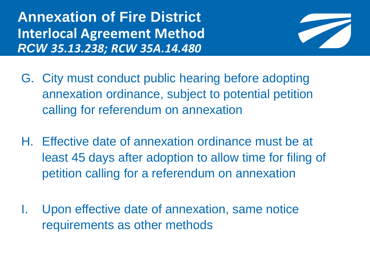**Annexation of Fire District Interlocal Agreement Method** *RCW 35.13.238; RCW 35A.14.480*



- G. City must conduct public hearing before adopting annexation ordinance, subject to potential petition calling for referendum on annexation
- H. Effective date of annexation ordinance must be at least 45 days after adoption to allow time for filing of petition calling for a referendum on annexation
- I. Upon effective date of annexation, same notice requirements as other methods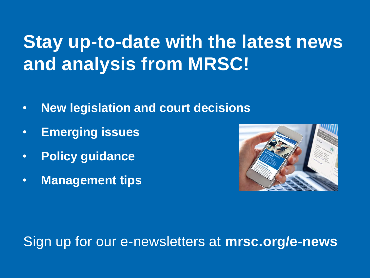## **Stay up-to-date with the latest news and analysis from MRSC!**

- **New legislation and court decisions**
- **Emerging issues**
- **Policy guidance**
- **Management tips**



#### Sign up for our e-newsletters at **mrsc.org/e-news**